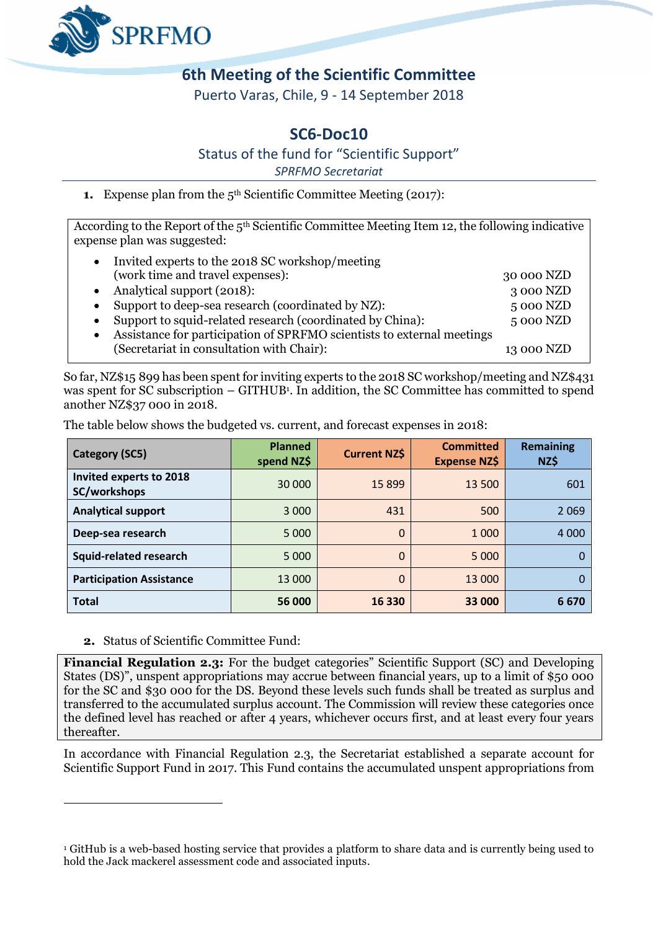

## **6th Meeting of the Scientific Committee**

Puerto Varas, Chile, 9 - 14 September 2018

## **SC6-Doc10**

Status of the fund for "Scientific Support"

*SPRFMO Secretariat*

**1.** Expense plan from the 5<sup>th</sup> Scientific Committee Meeting (2017):

According to the Report of the 5th Scientific Committee Meeting Item 12, the following indicative expense plan was suggested:

| Invited experts to the 2018 SC workshop/meeting                        |            |
|------------------------------------------------------------------------|------------|
| (work time and travel expenses):                                       | 30 000 NZD |
| Analytical support (2018):                                             | 3 000 NZD  |
| Support to deep-sea research (coordinated by NZ):                      | 5 000 NZD  |
| Support to squid-related research (coordinated by China):              | 5 000 NZD  |
| Assistance for participation of SPRFMO scientists to external meetings |            |
| (Secretariat in consultation with Chair):                              | 13 000 NZD |

So far, NZ\$15 899 has been spent for inviting experts to the 2018 SC workshop/meeting and NZ\$431 was spent for SC subscription – GITHUB<sup>1</sup>. In addition, the SC Committee has committed to spend another NZ\$37 000 in 2018.

The table below shows the budgeted vs. current, and forecast expenses in 2018:

| <b>Category (SC5)</b>                   | <b>Planned</b><br>spend NZ\$ | <b>Current NZ\$</b> | <b>Committed</b><br><b>Expense NZ\$</b> | <b>Remaining</b><br>NZ\$ |
|-----------------------------------------|------------------------------|---------------------|-----------------------------------------|--------------------------|
| Invited experts to 2018<br>SC/workshops | 30 000                       | 15 8 99             | 13 500                                  | 601                      |
| <b>Analytical support</b>               | 3 0 0 0                      | 431                 | 500                                     | 2 0 6 9                  |
| Deep-sea research                       | 5 0 0 0                      | $\Omega$            | 1 0 0 0                                 | 4 0 0 0                  |
| <b>Squid-related research</b>           | 5 0 0 0                      | $\Omega$            | 5 0 0 0                                 |                          |
| <b>Participation Assistance</b>         | 13 000                       | $\Omega$            | 13 000                                  |                          |
| <b>Total</b>                            | 56 000                       | 16 330              | 33 000                                  | 6670                     |

**2.** Status of Scientific Committee Fund:

 $\overline{a}$ 

**Financial Regulation 2.3:** For the budget categories" Scientific Support (SC) and Developing States (DS)", unspent appropriations may accrue between financial years, up to a limit of \$50 000 for the SC and \$30 000 for the DS. Beyond these levels such funds shall be treated as surplus and transferred to the accumulated surplus account. The Commission will review these categories once the defined level has reached or after 4 years, whichever occurs first, and at least every four years thereafter.

In accordance with Financial Regulation 2.3, the Secretariat established a separate account for Scientific Support Fund in 2017. This Fund contains the accumulated unspent appropriations from

<sup>1</sup> GitHub is a web-based hosting service that provides a platform to share data and is currently being used to hold the Jack mackerel assessment code and associated inputs.